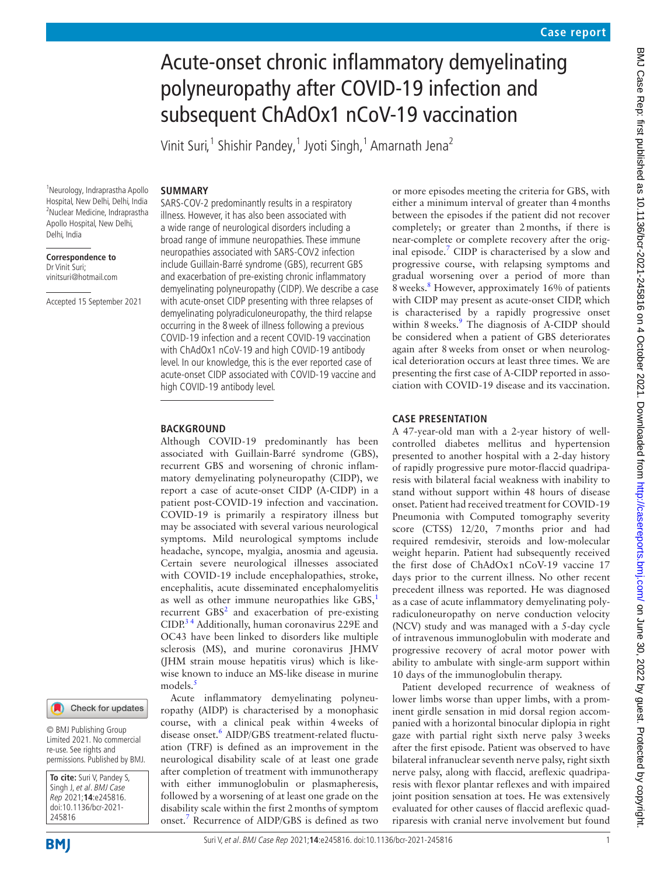# Acute-onset chronic inflammatory demyelinating polyneuropathy after COVID-19 infection and subsequent ChAdOx1 nCoV-19 vaccination

Vinit Suri,<sup>1</sup> Shishir Pandey,<sup>1</sup> Jyoti Singh,<sup>1</sup> Amarnath Jena<sup>2</sup>

#### **SUMMARY**

1 Neurology, Indraprastha Apollo Hospital, New Delhi, Delhi, India 2 Nuclear Medicine, Indraprastha Apollo Hospital, New Delhi, Delhi, India

**Correspondence to** Dr Vinit Suri; vinitsuri@hotmail.com

Accepted 15 September 2021

# Check for updates

© BMJ Publishing Group Limited 2021. No commercial re-use. See rights and permissions. Published by BMJ.

**To cite:** Suri V, Pandey S, Singh J, et al. BMJ Case Rep 2021;**14**:e245816. doi:10.1136/bcr-2021- 245816

SARS-COV-2 predominantly results in a respiratory illness. However, it has also been associated with a wide range of neurological disorders including a broad range of immune neuropathies. These immune neuropathies associated with SARS-COV2 infection include Guillain-Barré syndrome (GBS), recurrent GBS and exacerbation of pre-existing chronic inflammatory demyelinating polyneuropathy (CIDP). We describe a case with acute-onset CIDP presenting with three relapses of demyelinating polyradiculoneuropathy, the third relapse occurring in the 8week of illness following a previous COVID-19 infection and a recent COVID-19 vaccination with ChAdOx1 nCoV-19 and high COVID-19 antibody level. In our knowledge, this is the ever reported case of acute-onset CIDP associated with COVID-19 vaccine and high COVID-19 antibody level.

#### **BACKGROUND**

Although COVID-19 predominantly has been associated with Guillain-Barré syndrome (GBS), recurrent GBS and worsening of chronic inflammatory demyelinating polyneuropathy (CIDP), we report a case of acute-onset CIDP (A-CIDP) in a patient post-COVID-19 infection and vaccination. COVID-19 is primarily a respiratory illness but may be associated with several various neurological symptoms. Mild neurological symptoms include headache, syncope, myalgia, anosmia and ageusia. Certain severe neurological illnesses associated with COVID-19 include encephalopathies, stroke, encephalitis, acute disseminated encephalomyelitis as well as other immune neuropathies like  $GBS<sub>1</sub>$  $GBS<sub>1</sub>$  $GBS<sub>1</sub>$ <sup>1</sup> recurrent  $GBS<sup>2</sup>$  and exacerbation of pre-existing CIDP.<sup>34</sup> Additionally, human coronavirus 229E and OC43 have been linked to disorders like multiple sclerosis (MS), and murine coronavirus JHMV (JHM strain mouse hepatitis virus) which is likewise known to induce an MS-like disease in murine models.<sup>[5](#page-3-3)</sup>

Acute inflammatory demyelinating polyneuropathy (AIDP) is characterised by a monophasic course, with a clinical peak within 4weeks of disease onset.<sup>[6](#page-3-4)</sup> AIDP/GBS treatment-related fluctuation (TRF) is defined as an improvement in the neurological disability scale of at least one grade after completion of treatment with immunotherapy with either immunoglobulin or plasmapheresis, followed by a worsening of at least one grade on the disability scale within the first 2months of symptom onset.[7](#page-3-5) Recurrence of AIDP/GBS is defined as two or more episodes meeting the criteria for GBS, with either a minimum interval of greater than 4months between the episodes if the patient did not recover completely; or greater than 2months, if there is near-complete or complete recovery after the orig-inal episode.<sup>[7](#page-3-5)</sup> CIDP is characterised by a slow and progressive course, with relapsing symptoms and gradual worsening over a period of more than 8weeks.[8](#page-3-6) However, approximately 16% of patients with CIDP may present as acute-onset CIDP, which is characterised by a rapidly progressive onset within 8 weeks.<sup>9</sup> The diagnosis of A-CIDP should be considered when a patient of GBS deteriorates again after 8weeks from onset or when neurological deterioration occurs at least three times. We are presenting the first case of A-CIDP reported in association with COVID-19 disease and its vaccination.

#### **CASE PRESENTATION**

A 47-year-old man with a 2-year history of wellcontrolled diabetes mellitus and hypertension presented to another hospital with a 2-day history of rapidly progressive pure motor-flaccid quadriparesis with bilateral facial weakness with inability to stand without support within 48 hours of disease onset. Patient had received treatment for COVID-19 Pneumonia with Computed tomography severity score (CTSS) 12/20, 7months prior and had required remdesivir, steroids and low-molecular weight heparin. Patient had subsequently received the first dose of ChAdOx1 nCoV-19 vaccine 17 days prior to the current illness. No other recent precedent illness was reported. He was diagnosed as a case of acute inflammatory demyelinating polyradiculoneuropathy on nerve conduction velocity (NCV) study and was managed with a 5-day cycle of intravenous immunoglobulin with moderate and progressive recovery of acral motor power with ability to ambulate with single-arm support within 10 days of the immunoglobulin therapy.

Patient developed recurrence of weakness of lower limbs worse than upper limbs, with a prominent girdle sensation in mid dorsal region accompanied with a horizontal binocular diplopia in right gaze with partial right sixth nerve palsy 3weeks after the first episode. Patient was observed to have bilateral infranuclear seventh nerve palsy, right sixth nerve palsy, along with flaccid, areflexic quadriparesis with flexor plantar reflexes and with impaired joint position sensation at toes. He was extensively evaluated for other causes of flaccid areflexic quadriparesis with cranial nerve involvement but found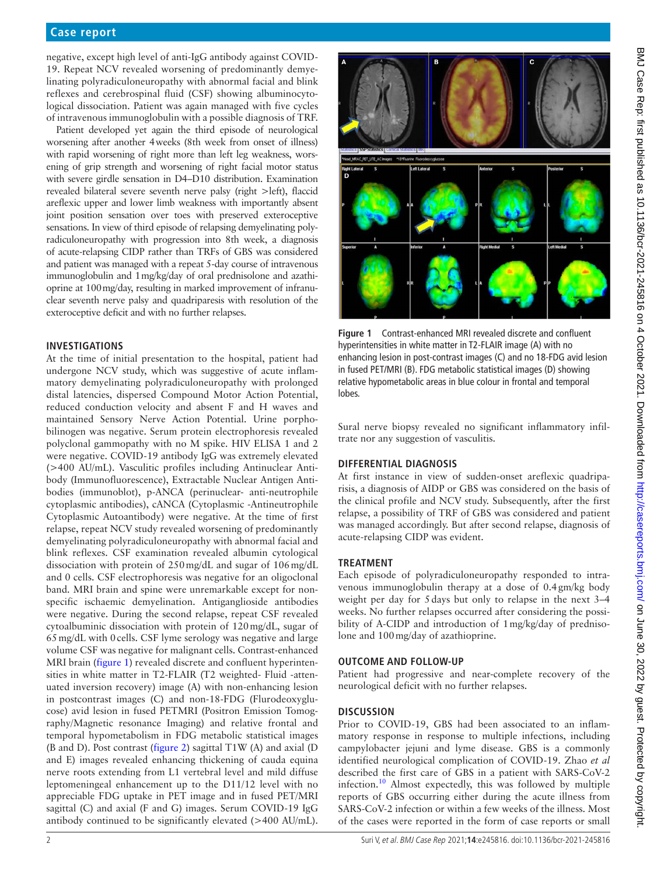## **Case report**

negative, except high level of anti-IgG antibody against COVID-19. Repeat NCV revealed worsening of predominantly demyelinating polyradiculoneuropathy with abnormal facial and blink reflexes and cerebrospinal fluid (CSF) showing albuminocytological dissociation. Patient was again managed with five cycles of intravenous immunoglobulin with a possible diagnosis of TRF.

Patient developed yet again the third episode of neurological worsening after another 4weeks (8th week from onset of illness) with rapid worsening of right more than left leg weakness, worsening of grip strength and worsening of right facial motor status with severe girdle sensation in D4–D10 distribution. Examination revealed bilateral severe seventh nerve palsy (right >left), flaccid areflexic upper and lower limb weakness with importantly absent joint position sensation over toes with preserved exteroceptive sensations. In view of third episode of relapsing demyelinating polyradiculoneuropathy with progression into 8th week, a diagnosis of acute-relapsing CIDP rather than TRFs of GBS was considered and patient was managed with a repeat 5-day course of intravenous immunoglobulin and 1mg/kg/day of oral prednisolone and azathioprine at 100mg/day, resulting in marked improvement of infranuclear seventh nerve palsy and quadriparesis with resolution of the exteroceptive deficit and with no further relapses.

#### **INVESTIGATIONS**

At the time of initial presentation to the hospital, patient had undergone NCV study, which was suggestive of acute inflammatory demyelinating polyradiculoneuropathy with prolonged distal latencies, dispersed Compound Motor Action Potential, reduced conduction velocity and absent F and H waves and maintained Sensory Nerve Action Potential. Urine porphobilinogen was negative. Serum protein electrophoresis revealed polyclonal gammopathy with no M spike. HIV ELISA 1 and 2 were negative. COVID-19 antibody IgG was extremely elevated (>400 AU/mL). Vasculitic profiles including Antinuclear Antibody (Immunofluorescence), Extractable Nuclear Antigen Antibodies (immunoblot), p-ANCA (perinuclear- anti-neutrophile cytoplasmic antibodies), cANCA (Cytoplasmic -Antineutrophile Cytoplasmic Autoantibody) were negative. At the time of first relapse, repeat NCV study revealed worsening of predominantly demyelinating polyradiculoneuropathy with abnormal facial and blink reflexes. CSF examination revealed albumin cytological dissociation with protein of 250mg/dL and sugar of 106mg/dL and 0 cells. CSF electrophoresis was negative for an oligoclonal band. MRI brain and spine were unremarkable except for nonspecific ischaemic demyelination. Antiganglioside antibodies were negative. During the second relapse, repeat CSF revealed cytoalbuminic dissociation with protein of 120mg/dL, sugar of 65mg/dL with 0cells. CSF lyme serology was negative and large volume CSF was negative for malignant cells. Contrast-enhanced MRI brain [\(figure](#page-1-0) 1) revealed discrete and confluent hyperintensities in white matter in T2-FLAIR (T2 weighted- Fluid -attenuated inversion recovery) image (A) with non-enhancing lesion in postcontrast images (C) and non-18-FDG (Flurodeoxyglucose) avid lesion in fused PETMRI (Positron Emission Tomography/Magnetic resonance Imaging) and relative frontal and temporal hypometabolism in FDG metabolic statistical images (B and D). Post contrast [\(figure](#page-2-0) 2) sagittal T1W (A) and axial (D and E) images revealed enhancing thickening of cauda equina nerve roots extending from L1 vertebral level and mild diffuse leptomeningeal enhancement up to the D11/12 level with no appreciable FDG uptake in PET image and in fused PET/MRI sagittal (C) and axial (F and G) images. Serum COVID-19 IgG antibody continued to be significantly elevated (>400 AU/mL).



<span id="page-1-0"></span>**Figure 1** Contrast-enhanced MRI revealed discrete and confluent hyperintensities in white matter in T2-FLAIR image (A) with no enhancing lesion in post-contrast images (C) and no 18-FDG avid lesion in fused PET/MRI (B). FDG metabolic statistical images (D) showing relative hypometabolic areas in blue colour in frontal and temporal lobes.

Sural nerve biopsy revealed no significant inflammatory infiltrate nor any suggestion of vasculitis.

## **DIFFERENTIAL DIAGNOSIS**

At first instance in view of sudden-onset areflexic quadriparisis, a diagnosis of AIDP or GBS was considered on the basis of the clinical profile and NCV study. Subsequently, after the first relapse, a possibility of TRF of GBS was considered and patient was managed accordingly. But after second relapse, diagnosis of acute-relapsing CIDP was evident.

## **TREATMENT**

Each episode of polyradiculoneuropathy responded to intravenous immunoglobulin therapy at a dose of 0.4gm/kg body weight per day for 5days but only to relapse in the next 3–4 weeks. No further relapses occurred after considering the possibility of A-CIDP and introduction of 1mg/kg/day of prednisolone and 100mg/day of azathioprine.

#### **OUTCOME AND FOLLOW-UP**

Patient had progressive and near-complete recovery of the neurological deficit with no further relapses.

## **DISCUSSION**

Prior to COVID-19, GBS had been associated to an inflammatory response in response to multiple infections, including campylobacter jejuni and lyme disease. GBS is a commonly identified neurological complication of COVID-19. Zhao *et al* described the first care of GBS in a patient with SARS-CoV-2 infection[.10](#page-3-8) Almost expectedly, this was followed by multiple reports of GBS occurring either during the acute illness from SARS-CoV-2 infection or within a few weeks of the illness. Most of the cases were reported in the form of case reports or small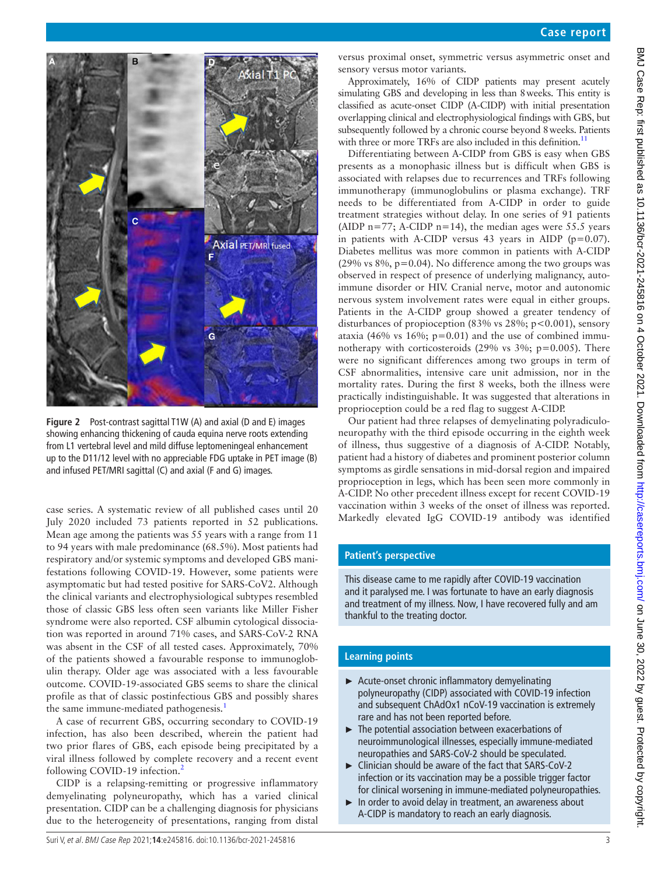



**Figure 2** Post-contrast sagittal T1W (A) and axial (D and E) images showing enhancing thickening of cauda equina nerve roots extending from L1 vertebral level and mild diffuse leptomeningeal enhancement up to the D11/12 level with no appreciable FDG uptake in PET image (B) and infused PET/MRI sagittal (C) and axial (F and G) images.

<span id="page-2-0"></span>case series. A systematic review of all published cases until 20 July 2020 included 73 patients reported in 52 publications. Mean age among the patients was 55 years with a range from 11 to 94 years with male predominance (68.5%). Most patients had respiratory and/or systemic symptoms and developed GBS manifestations following COVID-19. However, some patients were asymptomatic but had tested positive for SARS-CoV2. Although the clinical variants and electrophysiological subtypes resembled those of classic GBS less often seen variants like Miller Fisher syndrome were also reported. CSF albumin cytological dissociation was reported in around 71% cases, and SARS-CoV-2 RNA was absent in the CSF of all tested cases. Approximately, 70% of the patients showed a favourable response to immunoglobulin therapy. Older age was associated with a less favourable outcome. COVID-19-associated GBS seems to share the clinical profile as that of classic postinfectious GBS and possibly shares the same immune-mediated pathogenesis.<sup>1</sup>

A case of recurrent GBS, occurring secondary to COVID-19 infection, has also been described, wherein the patient had two prior flares of GBS, each episode being precipitated by a viral illness followed by complete recovery and a recent event following COVID-19 infection.<sup>[2](#page-3-1)</sup>

CIDP is a relapsing-remitting or progressive inflammatory demyelinating polyneuropathy, which has a varied clinical presentation. CIDP can be a challenging diagnosis for physicians due to the heterogeneity of presentations, ranging from distal

versus proximal onset, symmetric versus asymmetric onset and sensory versus motor variants.

Approximately, 16% of CIDP patients may present acutely simulating GBS and developing in less than 8weeks. This entity is classified as acute-onset CIDP (A-CIDP) with initial presentation overlapping clinical and electrophysiological findings with GBS, but subsequently followed by a chronic course beyond 8weeks. Patients with three or more TRFs are also included in this definition.<sup>11</sup>

Differentiating between A-CIDP from GBS is easy when GBS presents as a monophasic illness but is difficult when GBS is associated with relapses due to recurrences and TRFs following immunotherapy (immunoglobulins or plasma exchange). TRF needs to be differentiated from A-CIDP in order to guide treatment strategies without delay. In one series of 91 patients (AIDP  $n=77$ ; A-CIDP  $n=14$ ), the median ages were 55.5 years in patients with A-CIDP versus 43 years in AIDP ( $p=0.07$ ). Diabetes mellitus was more common in patients with A-CIDP (29% vs  $8\%$ , p=0.04). No difference among the two groups was observed in respect of presence of underlying malignancy, autoimmune disorder or HIV. Cranial nerve, motor and autonomic nervous system involvement rates were equal in either groups. Patients in the A-CIDP group showed a greater tendency of disturbances of propioception  $(83\% \text{ vs } 28\%; \text{ p} < 0.001)$ , sensory ataxia (46% vs 16%;  $p=0.01$ ) and the use of combined immunotherapy with corticosteroids  $(29\% \text{ vs } 3\%; \text{ p}=0.005)$ . There were no significant differences among two groups in term of CSF abnormalities, intensive care unit admission, nor in the mortality rates. During the first 8 weeks, both the illness were practically indistinguishable. It was suggested that alterations in proprioception could be a red flag to suggest A-CIDP.

Our patient had three relapses of demyelinating polyradiculoneuropathy with the third episode occurring in the eighth week of illness, thus suggestive of a diagnosis of A-CIDP. Notably, patient had a history of diabetes and prominent posterior column symptoms as girdle sensations in mid-dorsal region and impaired proprioception in legs, which has been seen more commonly in A-CIDP. No other precedent illness except for recent COVID-19 vaccination within 3 weeks of the onset of illness was reported. Markedly elevated IgG COVID-19 antibody was identified

## **Patient's perspective**

This disease came to me rapidly after COVID-19 vaccination and it paralysed me. I was fortunate to have an early diagnosis and treatment of my illness. Now, I have recovered fully and am thankful to the treating doctor.

# **Learning points**

- ► Acute-onset chronic inflammatory demyelinating polyneuropathy (CIDP) associated with COVID-19 infection and subsequent ChAdOx1 nCoV-19 vaccination is extremely rare and has not been reported before.
- ► The potential association between exacerbations of neuroimmunological illnesses, especially immune-mediated neuropathies and SARS-CoV-2 should be speculated.
- ► Clinician should be aware of the fact that SARS-CoV-2 infection or its vaccination may be a possible trigger factor for clinical worsening in immune-mediated polyneuropathies.
- ► In order to avoid delay in treatment, an awareness about A-CIDP is mandatory to reach an early diagnosis.